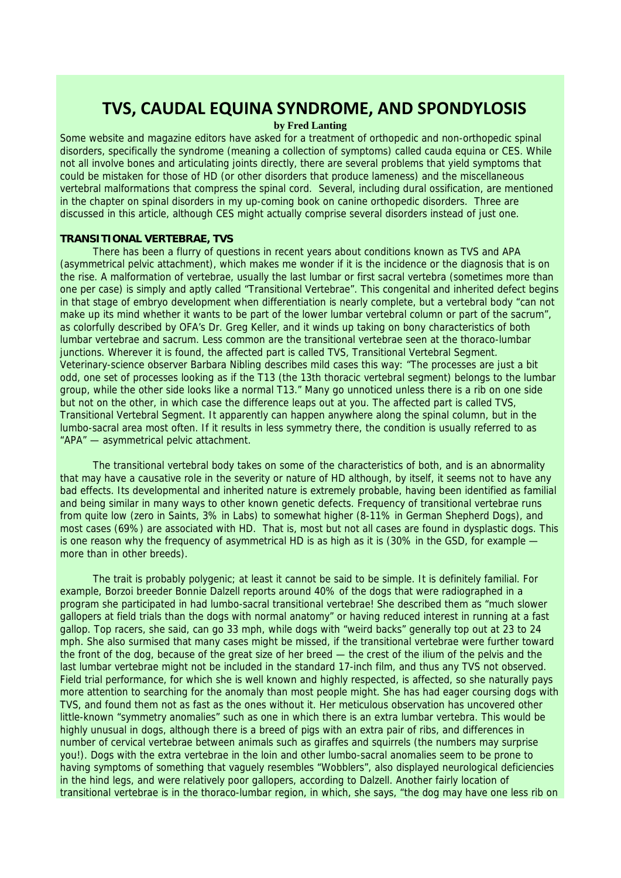# **TVS, CAUDAL EQUINA SYNDROME, AND SPONDYLOSIS**

# **by Fred Lanting**

Some website and magazine editors have asked for a treatment of orthopedic and non-orthopedic spinal disorders, specifically the syndrome (meaning a collection of symptoms) called cauda equina or CES. While not all involve bones and articulating joints directly, there are several problems that yield symptoms that could be mistaken for those of HD (or other disorders that produce lameness) and the miscellaneous vertebral malformations that compress the spinal cord. Several, including dural ossification, are mentioned in the chapter on spinal disorders in my up-coming book on canine orthopedic disorders. Three are discussed in this article, although CES might actually comprise several disorders instead of just one.

## **TRANSITIONAL VERTEBRAE, TVS**

There has been a flurry of questions in recent years about conditions known as TVS and APA (asymmetrical pelvic attachment), which makes me wonder if it is the incidence or the diagnosis that is on the rise. A malformation of vertebrae, usually the last lumbar or first sacral vertebra (sometimes more than one per case) is simply and aptly called "Transitional Vertebrae". This congenital and inherited defect begins in that stage of embryo development when differentiation is nearly complete, but a vertebral body "can not make up its mind whether it wants to be part of the lower lumbar vertebral column or part of the sacrum", as colorfully described by OFA's Dr. Greg Keller, and it winds up taking on bony characteristics of both lumbar vertebrae and sacrum. Less common are the transitional vertebrae seen at the thoraco-lumbar junctions. Wherever it is found, the affected part is called TVS, Transitional Vertebral Segment. Veterinary-science observer Barbara Nibling describes mild cases this way: "The processes are just a bit odd, one set of processes looking as if the T13 (the 13th thoracic vertebral segment) belongs to the lumbar group, while the other side looks like a normal T13." Many go unnoticed unless there is a rib on one side but not on the other, in which case the difference leaps out at you. The affected part is called TVS, Transitional Vertebral Segment. It apparently can happen anywhere along the spinal column, but in the lumbo-sacral area most often. If it results in less symmetry there, the condition is usually referred to as "APA" — asymmetrical pelvic attachment.

The transitional vertebral body takes on some of the characteristics of both, and is an abnormality that may have a causative role in the severity or nature of HD although, by itself, it seems not to have any bad effects. Its developmental and inherited nature is extremely probable, having been identified as familial and being similar in many ways to other known genetic defects. Frequency of transitional vertebrae runs from quite low (zero in Saints, 3% in Labs) to somewhat higher (8-11% in German Shepherd Dogs), and most cases (69%) are associated with HD. That is, most but not all cases are found in dysplastic dogs. This is one reason why the frequency of asymmetrical HD is as high as it is (30% in the GSD, for example more than in other breeds).

The trait is probably polygenic; at least it cannot be said to be simple. It is definitely familial. For example, Borzoi breeder Bonnie Dalzell reports around 40% of the dogs that were radiographed in a program she participated in had lumbo-sacral transitional vertebrae! She described them as "much slower gallopers at field trials than the dogs with normal anatomy" or having reduced interest in running at a fast gallop. Top racers, she said, can go 33 mph, while dogs with "weird backs" generally top out at 23 to 24 mph. She also surmised that many cases might be missed, if the transitional vertebrae were further toward the front of the dog, because of the great size of her breed — the crest of the ilium of the pelvis and the last lumbar vertebrae might not be included in the standard 17-inch film, and thus any TVS not observed. Field trial performance, for which she is well known and highly respected, is affected, so she naturally pays more attention to searching for the anomaly than most people might. She has had eager coursing dogs with TVS, and found them not as fast as the ones without it. Her meticulous observation has uncovered other little-known "symmetry anomalies" such as one in which there is an extra lumbar vertebra. This would be highly unusual in dogs, although there is a breed of pigs with an extra pair of ribs, and differences in number of cervical vertebrae between animals such as giraffes and squirrels (the numbers may surprise you!). Dogs with the extra vertebrae in the loin and other lumbo-sacral anomalies seem to be prone to having symptoms of something that vaguely resembles "Wobblers", also displayed neurological deficiencies in the hind legs, and were relatively poor gallopers, according to Dalzell. Another fairly location of transitional vertebrae is in the thoraco-lumbar region, in which, she says, "the dog may have one less rib on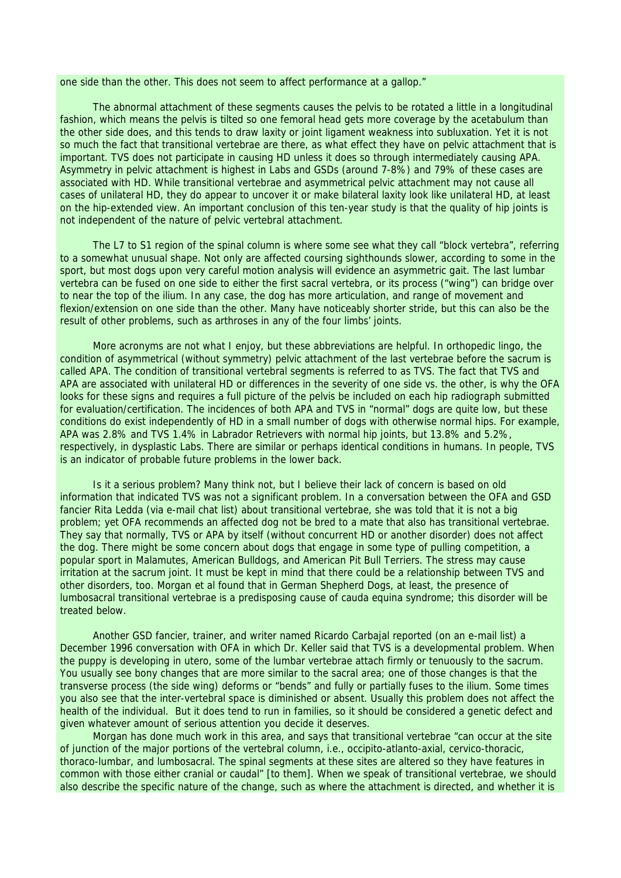one side than the other. This does not seem to affect performance at a gallop."

The abnormal attachment of these segments causes the pelvis to be rotated a little in a longitudinal fashion, which means the pelvis is tilted so one femoral head gets more coverage by the acetabulum than the other side does, and this tends to draw laxity or joint ligament weakness into subluxation. Yet it is not so much the fact that transitional vertebrae are there, as what effect they have on pelvic attachment that is important. TVS does not participate in causing HD unless it does so through intermediately causing APA. Asymmetry in pelvic attachment is highest in Labs and GSDs (around 7-8%) and 79% of these cases are associated with HD. While transitional vertebrae and asymmetrical pelvic attachment may not cause all cases of unilateral HD, they do appear to uncover it or make bilateral laxity look like unilateral HD, at least on the hip-extended view. An important conclusion of this ten-year study is that the quality of hip joints is not independent of the nature of pelvic vertebral attachment.

The L7 to S1 region of the spinal column is where some see what they call "block vertebra", referring to a somewhat unusual shape. Not only are affected coursing sighthounds slower, according to some in the sport, but most dogs upon very careful motion analysis will evidence an asymmetric gait. The last lumbar vertebra can be fused on one side to either the first sacral vertebra, or its process ("wing") can bridge over to near the top of the ilium. In any case, the dog has more articulation, and range of movement and flexion/extension on one side than the other. Many have noticeably shorter stride, but this can also be the result of other problems, such as arthroses in any of the four limbs' joints.

More acronyms are not what I enjoy, but these abbreviations are helpful. In orthopedic lingo, the condition of asymmetrical (without symmetry) pelvic attachment of the last vertebrae before the sacrum is called APA. The condition of transitional vertebral segments is referred to as TVS. The fact that TVS and APA are associated with unilateral HD or differences in the severity of one side vs. the other, is why the OFA looks for these signs and requires a full picture of the pelvis be included on each hip radiograph submitted for evaluation/certification. The incidences of both APA and TVS in "normal" dogs are quite low, but these conditions do exist independently of HD in a small number of dogs with otherwise normal hips. For example, APA was 2.8% and TVS 1.4% in Labrador Retrievers with normal hip joints, but 13.8% and 5.2%, respectively, in dysplastic Labs. There are similar or perhaps identical conditions in humans. In people, TVS is an indicator of probable future problems in the lower back.

Is it a serious problem? Many think not, but I believe their lack of concern is based on old information that indicated TVS was not a significant problem. In a conversation between the OFA and GSD fancier Rita Ledda (via e-mail chat list) about transitional vertebrae, she was told that it is not a big problem; yet OFA recommends an affected dog not be bred to a mate that also has transitional vertebrae. They say that normally, TVS or APA by itself (without concurrent HD or another disorder) does not affect the dog. There might be some concern about dogs that engage in some type of pulling competition, a popular sport in Malamutes, American Bulldogs, and American Pit Bull Terriers. The stress may cause irritation at the sacrum joint. It must be kept in mind that there could be a relationship between TVS and other disorders, too. Morgan et al found that in German Shepherd Dogs, at least, the presence of lumbosacral transitional vertebrae is a predisposing cause of cauda equina syndrome; this disorder will be treated below.

Another GSD fancier, trainer, and writer named Ricardo Carbajal reported (on an e-mail list) a December 1996 conversation with OFA in which Dr. Keller said that TVS is a developmental problem. When the puppy is developing in utero, some of the lumbar vertebrae attach firmly or tenuously to the sacrum. You usually see bony changes that are more similar to the sacral area; one of those changes is that the transverse process (the side wing) deforms or "bends" and fully or partially fuses to the ilium. Some times you also see that the inter-vertebral space is diminished or absent. Usually this problem does not affect the health of the individual. But it does tend to run in families, so it should be considered a genetic defect and given whatever amount of serious attention you decide it deserves.

Morgan has done much work in this area, and says that transitional vertebrae "can occur at the site of junction of the major portions of the vertebral column, i.e., occipito-atlanto-axial, cervico-thoracic, thoraco-lumbar, and lumbosacral. The spinal segments at these sites are altered so they have features in common with those either cranial or caudal" [to them]. When we speak of transitional vertebrae, we should also describe the specific nature of the change, such as where the attachment is directed, and whether it is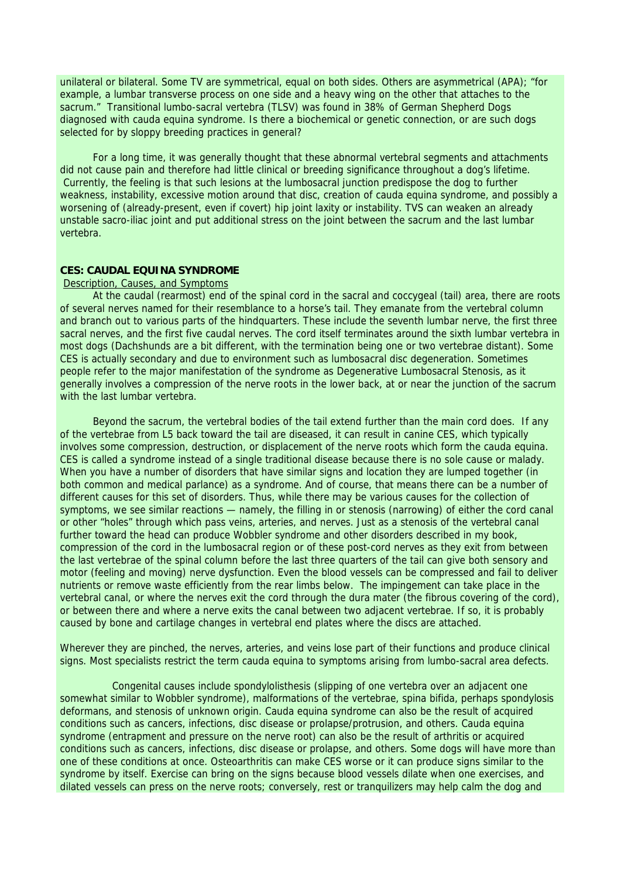unilateral or bilateral. Some TV are symmetrical, equal on both sides. Others are asymmetrical (APA); "for example, a lumbar transverse process on one side and a heavy wing on the other that attaches to the sacrum." Transitional lumbo-sacral vertebra (TLSV) was found in 38% of German Shepherd Dogs diagnosed with cauda equina syndrome. Is there a biochemical or genetic connection, or are such dogs selected for by sloppy breeding practices in general?

For a long time, it was generally thought that these abnormal vertebral segments and attachments did not cause pain and therefore had little clinical or breeding significance throughout a dog's lifetime. Currently, the feeling is that such lesions at the lumbosacral junction predispose the dog to further weakness, instability, excessive motion around that disc, creation of cauda equina syndrome, and possibly a worsening of (already-present, even if covert) hip joint laxity or instability. TVS can weaken an already unstable sacro-iliac joint and put additional stress on the joint between the sacrum and the last lumbar vertebra.

# **CES: CAUDAL EQUINA SYNDROME**

#### Description, Causes, and Symptoms

At the caudal (rearmost) end of the spinal cord in the sacral and coccygeal (tail) area, there are roots of several nerves named for their resemblance to a horse's tail. They emanate from the vertebral column and branch out to various parts of the hindquarters. These include the seventh lumbar nerve, the first three sacral nerves, and the first five caudal nerves. The cord itself terminates around the sixth lumbar vertebra in most dogs (Dachshunds are a bit different, with the termination being one or two vertebrae distant). Some CES is actually secondary and due to environment such as lumbosacral disc degeneration. Sometimes people refer to the major manifestation of the syndrome as Degenerative Lumbosacral Stenosis, as it generally involves a compression of the nerve roots in the lower back, at or near the junction of the sacrum with the last lumbar vertebra.

Beyond the sacrum, the vertebral bodies of the tail extend further than the main cord does. If any of the vertebrae from L5 back toward the tail are diseased, it can result in canine CES, which typically involves some compression, destruction, or displacement of the nerve roots which form the cauda equina. CES is called a syndrome instead of a single traditional disease because there is no sole cause or malady. When you have a number of disorders that have similar signs and location they are lumped together (in both common and medical parlance) as a syndrome. And of course, that means there can be a number of different causes for this set of disorders. Thus, while there may be various causes for the collection of symptoms, we see similar reactions — namely, the filling in or stenosis (narrowing) of either the cord canal or other "holes" through which pass veins, arteries, and nerves. Just as a stenosis of the vertebral canal further toward the head can produce Wobbler syndrome and other disorders described in my book, compression of the cord in the lumbosacral region or of these post-cord nerves as they exit from between the last vertebrae of the spinal column before the last three quarters of the tail can give both sensory and motor (feeling and moving) nerve dysfunction. Even the blood vessels can be compressed and fail to deliver nutrients or remove waste efficiently from the rear limbs below. The impingement can take place in the vertebral canal, or where the nerves exit the cord through the dura mater (the fibrous covering of the cord), or between there and where a nerve exits the canal between two adjacent vertebrae. If so, it is probably caused by bone and cartilage changes in vertebral end plates where the discs are attached.

Wherever they are pinched, the nerves, arteries, and veins lose part of their functions and produce clinical signs. Most specialists restrict the term cauda equina to symptoms arising from lumbo-sacral area defects.

 Congenital causes include spondylolisthesis (slipping of one vertebra over an adjacent one somewhat similar to Wobbler syndrome), malformations of the vertebrae, spina bifida, perhaps spondylosis deformans, and stenosis of unknown origin. Cauda equina syndrome can also be the result of acquired conditions such as cancers, infections, disc disease or prolapse/protrusion, and others. Cauda equina syndrome (entrapment and pressure on the nerve root) can also be the result of arthritis or acquired conditions such as cancers, infections, disc disease or prolapse, and others. Some dogs will have more than one of these conditions at once. Osteoarthritis can make CES worse or it can produce signs similar to the syndrome by itself. Exercise can bring on the signs because blood vessels dilate when one exercises, and dilated vessels can press on the nerve roots; conversely, rest or tranquilizers may help calm the dog and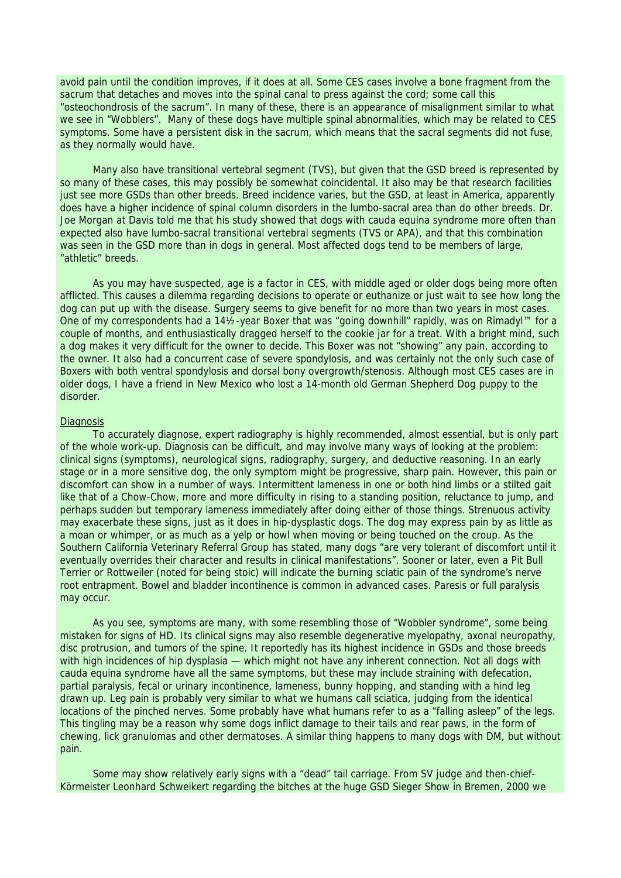avoid pain until the condition improves, if it does at all. Some CES cases involve a bone fragment from the sacrum that detaches and moves into the spinal canal to press against the cord; some call this "osteochondrosis of the sacrum". In many of these, there is an appearance of misalignment similar to what we see in "Wobblers". Many of these dogs have multiple spinal abnormalities, which may be related to CES symptoms. Some have a persistent disk in the sacrum, which means that the sacral segments did not fuse, as they normally would have.

Many also have transitional vertebral segment (TVS), but given that the GSD breed is represented by so many of these cases, this may possibly be somewhat coincidental. It also may be that research facilities just see more GSDs than other breeds. Breed incidence varies, but the GSD, at least in America, apparently does have a higher incidence of spinal column disorders in the lumbo-sacral area than do other breeds. Dr. Joe Morgan at Davis told me that his study showed that dogs with cauda equina syndrome more often than expected also have lumbo-sacral transitional vertebral segments (TVS or APA), and that this combination was seen in the GSD more than in dogs in general. Most affected dogs tend to be members of large, "athletic" breeds.

As you may have suspected, age is a factor in CES, with middle aged or older dogs being more often afflicted. This causes a dilemma regarding decisions to operate or euthanize or just wait to see how long the dog can put up with the disease. Surgery seems to give benefit for no more than two years in most cases. One of my correspondents had a 141⁄2-year Boxer that was "going downhill" rapidly, was on Rimadyl™ for a couple of months, and enthusiastically dragged herself to the cookie jar for a treat. With a bright mind, such a dog makes it very difficult for the owner to decide. This Boxer was not "showing" any pain, according to the owner. It also had a concurrent case of severe spondylosis, and was certainly not the only such case of Boxers with both ventral spondylosis and dorsal bony overgrowth/stenosis. Although most CES cases are in older dogs, I have a friend in New Mexico who lost a 14-month old German Shepherd Dog puppy to the disorder.

#### **Diagnosis**

To accurately diagnose, expert radiography is highly recommended, almost essential, but is only part of the whole work-up. Diagnosis can be difficult, and may involve many ways of looking at the problem: clinical signs (symptoms), neurological signs, radiography, surgery, and deductive reasoning. In an early stage or in a more sensitive dog, the only symptom might be progressive, sharp pain. However, this pain or discomfort can show in a number of ways. Intermittent lameness in one or both hind limbs or a stilted gait like that of a Chow-Chow, more and more difficulty in rising to a standing position, reluctance to jump, and perhaps sudden but temporary lameness immediately after doing either of those things. Strenuous activity may exacerbate these signs, just as it does in hip-dysplastic dogs. The dog may express pain by as little as a moan or whimper, or as much as a yelp or howl when moving or being touched on the croup. As the Southern California Veterinary Referral Group has stated, many dogs "are very tolerant of discomfort until it eventually overrides their character and results in clinical manifestations". Sooner or later, even a Pit Bull Terrier or Rottweiler (noted for being stoic) will indicate the burning sciatic pain of the syndrome's nerve root entrapment. Bowel and bladder incontinence is common in advanced cases. Paresis or full paralysis may occur.

As you see, symptoms are many, with some resembling those of "Wobbler syndrome", some being mistaken for signs of HD. Its clinical signs may also resemble degenerative myelopathy, axonal neuropathy, disc protrusion, and tumors of the spine. It reportedly has its highest incidence in GSDs and those breeds with high incidences of hip dysplasia — which might not have any inherent connection. Not all dogs with cauda equina syndrome have all the same symptoms, but these may include straining with defecation, partial paralysis, fecal or urinary incontinence, lameness, bunny hopping, and standing with a hind leg drawn up. Leg pain is probably very similar to what we humans call sciatica, judging from the identical locations of the pinched nerves. Some probably have what humans refer to as a "falling asleep" of the legs. This tingling may be a reason why some dogs inflict damage to their tails and rear paws, in the form of chewing, lick granulomas and other dermatoses. A similar thing happens to many dogs with DM, but without pain.

Some may show relatively early signs with a "dead" tail carriage. From SV judge and then-chief-Körmeister Leonhard Schweikert regarding the bitches at the huge GSD Sieger Show in Bremen, 2000 we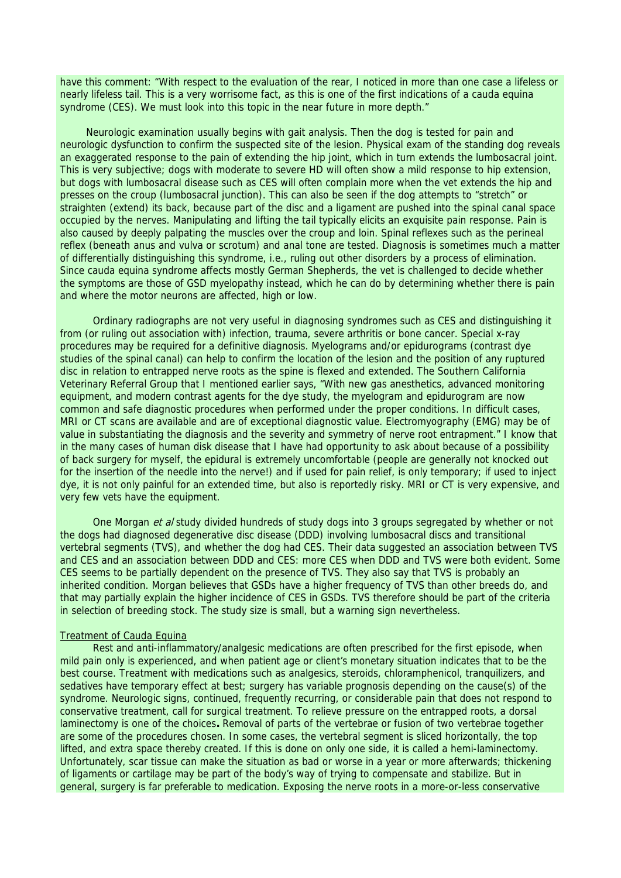have this comment: "With respect to the evaluation of the rear, I noticed in more than one case a lifeless or nearly lifeless tail. This is a very worrisome fact, as this is one of the first indications of a cauda equina syndrome (CES). We must look into this topic in the near future in more depth."

 Neurologic examination usually begins with gait analysis. Then the dog is tested for pain and neurologic dysfunction to confirm the suspected site of the lesion. Physical exam of the standing dog reveals an exaggerated response to the pain of extending the hip joint, which in turn extends the lumbosacral joint. This is very subjective; dogs with moderate to severe HD will often show a mild response to hip extension, but dogs with lumbosacral disease such as CES will often complain more when the vet extends the hip and presses on the croup (lumbosacral junction). This can also be seen if the dog attempts to "stretch" or straighten (extend) its back, because part of the disc and a ligament are pushed into the spinal canal space occupied by the nerves. Manipulating and lifting the tail typically elicits an exquisite pain response. Pain is also caused by deeply palpating the muscles over the croup and loin. Spinal reflexes such as the perineal reflex (beneath anus and vulva or scrotum) and anal tone are tested. Diagnosis is sometimes much a matter of differentially distinguishing this syndrome, i.e., ruling out other disorders by a process of elimination. Since cauda equina syndrome affects mostly German Shepherds, the vet is challenged to decide whether the symptoms are those of GSD myelopathy instead, which he can do by determining whether there is pain and where the motor neurons are affected, high or low.

Ordinary radiographs are not very useful in diagnosing syndromes such as CES and distinguishing it from (or ruling out association with) infection, trauma, severe arthritis or bone cancer. Special x-ray procedures may be required for a definitive diagnosis. Myelograms and/or epidurograms (contrast dye studies of the spinal canal) can help to confirm the location of the lesion and the position of any ruptured disc in relation to entrapped nerve roots as the spine is flexed and extended. The Southern California Veterinary Referral Group that I mentioned earlier says, "With new gas anesthetics, advanced monitoring equipment, and modern contrast agents for the dye study, the myelogram and epidurogram are now common and safe diagnostic procedures when performed under the proper conditions. In difficult cases, MRI or CT scans are available and are of exceptional diagnostic value. Electromyography (EMG) may be of value in substantiating the diagnosis and the severity and symmetry of nerve root entrapment." I know that in the many cases of human disk disease that I have had opportunity to ask about because of a possibility of back surgery for myself, the epidural is extremely uncomfortable (people are generally not knocked out for the insertion of the needle into the nerve!) and if used for pain relief, is only temporary; if used to inject dye, it is not only painful for an extended time, but also is reportedly risky. MRI or CT is very expensive, and very few vets have the equipment.

One Morgan et al study divided hundreds of study dogs into 3 groups segregated by whether or not the dogs had diagnosed degenerative disc disease (DDD) involving lumbosacral discs and transitional vertebral segments (TVS), and whether the dog had CES. Their data suggested an association between TVS and CES and an association between DDD and CES: more CES when DDD and TVS were both evident. Some CES seems to be partially dependent on the presence of TVS. They also say that TVS is probably an inherited condition. Morgan believes that GSDs have a higher frequency of TVS than other breeds do, and that may partially explain the higher incidence of CES in GSDs. TVS therefore should be part of the criteria in selection of breeding stock. The study size is small, but a warning sign nevertheless.

#### Treatment of Cauda Equina

Rest and anti-inflammatory/analgesic medications are often prescribed for the first episode, when mild pain only is experienced, and when patient age or client's monetary situation indicates that to be the best course. Treatment with medications such as analgesics, steroids, chloramphenicol, tranquilizers, and sedatives have temporary effect at best; surgery has variable prognosis depending on the cause(s) of the syndrome. Neurologic signs, continued, frequently recurring, or considerable pain that does not respond to conservative treatment, call for surgical treatment. To relieve pressure on the entrapped roots, a dorsal laminectomy is one of the choices**.** Removal of parts of the vertebrae or fusion of two vertebrae together are some of the procedures chosen. In some cases, the vertebral segment is sliced horizontally, the top lifted, and extra space thereby created. If this is done on only one side, it is called a hemi-laminectomy. Unfortunately, scar tissue can make the situation as bad or worse in a year or more afterwards; thickening of ligaments or cartilage may be part of the body's way of trying to compensate and stabilize. But in general, surgery is far preferable to medication. Exposing the nerve roots in a more-or-less conservative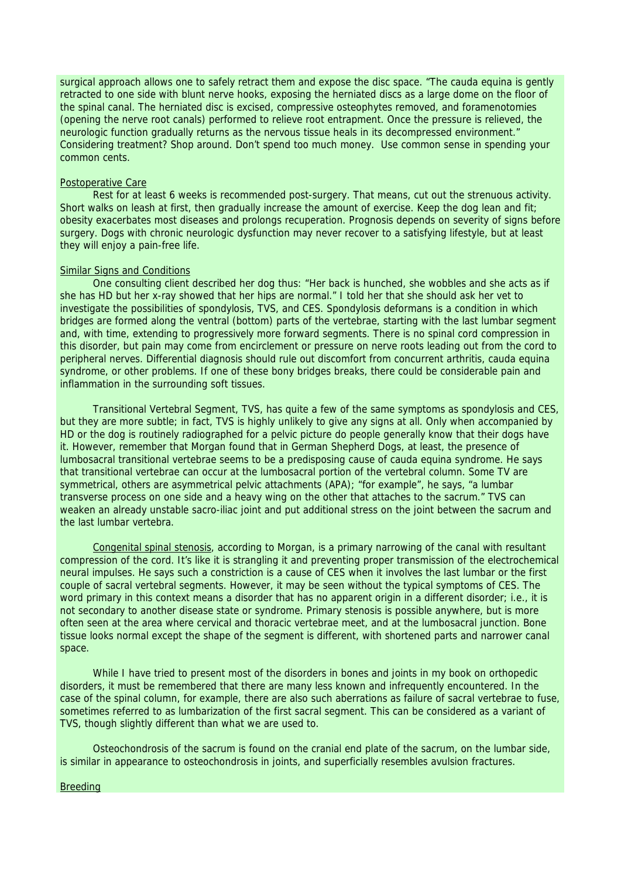surgical approach allows one to safely retract them and expose the disc space. "The cauda equina is gently retracted to one side with blunt nerve hooks, exposing the herniated discs as a large dome on the floor of the spinal canal. The herniated disc is excised, compressive osteophytes removed, and foramenotomies (opening the nerve root canals) performed to relieve root entrapment. Once the pressure is relieved, the neurologic function gradually returns as the nervous tissue heals in its decompressed environment." Considering treatment? Shop around. Don't spend too much money. Use common sense in spending your common cents.

# Postoperative Care

Rest for at least 6 weeks is recommended post-surgery. That means, cut out the strenuous activity. Short walks on leash at first, then gradually increase the amount of exercise. Keep the dog lean and fit: obesity exacerbates most diseases and prolongs recuperation. Prognosis depends on severity of signs before surgery. Dogs with chronic neurologic dysfunction may never recover to a satisfying lifestyle, but at least they will enjoy a pain-free life.

### Similar Signs and Conditions

One consulting client described her dog thus: "Her back is hunched, she wobbles and she acts as if she has HD but her x-ray showed that her hips are normal." I told her that she should ask her vet to investigate the possibilities of spondylosis, TVS, and CES. Spondylosis deformans is a condition in which bridges are formed along the ventral (bottom) parts of the vertebrae, starting with the last lumbar segment and, with time, extending to progressively more forward segments. There is no spinal cord compression in this disorder, but pain may come from encirclement or pressure on nerve roots leading out from the cord to peripheral nerves. Differential diagnosis should rule out discomfort from concurrent arthritis, cauda equina syndrome, or other problems. If one of these bony bridges breaks, there could be considerable pain and inflammation in the surrounding soft tissues.

Transitional Vertebral Segment, TVS, has quite a few of the same symptoms as spondylosis and CES, but they are more subtle; in fact, TVS is highly unlikely to give any signs at all. Only when accompanied by HD or the dog is routinely radiographed for a pelvic picture do people generally know that their dogs have it. However, remember that Morgan found that in German Shepherd Dogs, at least, the presence of lumbosacral transitional vertebrae seems to be a predisposing cause of cauda equina syndrome. He says that transitional vertebrae can occur at the lumbosacral portion of the vertebral column. Some TV are symmetrical, others are asymmetrical pelvic attachments (APA); "for example", he says, "a lumbar transverse process on one side and a heavy wing on the other that attaches to the sacrum." TVS can weaken an already unstable sacro-iliac joint and put additional stress on the joint between the sacrum and the last lumbar vertebra.

Congenital spinal stenosis, according to Morgan, is a primary narrowing of the canal with resultant compression of the cord. It's like it is strangling it and preventing proper transmission of the electrochemical neural impulses. He says such a constriction is a cause of CES when it involves the last lumbar or the first couple of sacral vertebral segments. However, it may be seen without the typical symptoms of CES. The word primary in this context means a disorder that has no apparent origin in a different disorder; i.e., it is not secondary to another disease state or syndrome. Primary stenosis is possible anywhere, but is more often seen at the area where cervical and thoracic vertebrae meet, and at the lumbosacral junction. Bone tissue looks normal except the shape of the segment is different, with shortened parts and narrower canal space.

While I have tried to present most of the disorders in bones and joints in my book on orthopedic disorders, it must be remembered that there are many less known and infrequently encountered. In the case of the spinal column, for example, there are also such aberrations as failure of sacral vertebrae to fuse, sometimes referred to as lumbarization of the first sacral segment. This can be considered as a variant of TVS, though slightly different than what we are used to.

Osteochondrosis of the sacrum is found on the cranial end plate of the sacrum, on the lumbar side, is similar in appearance to osteochondrosis in joints, and superficially resembles avulsion fractures.

### **Breeding**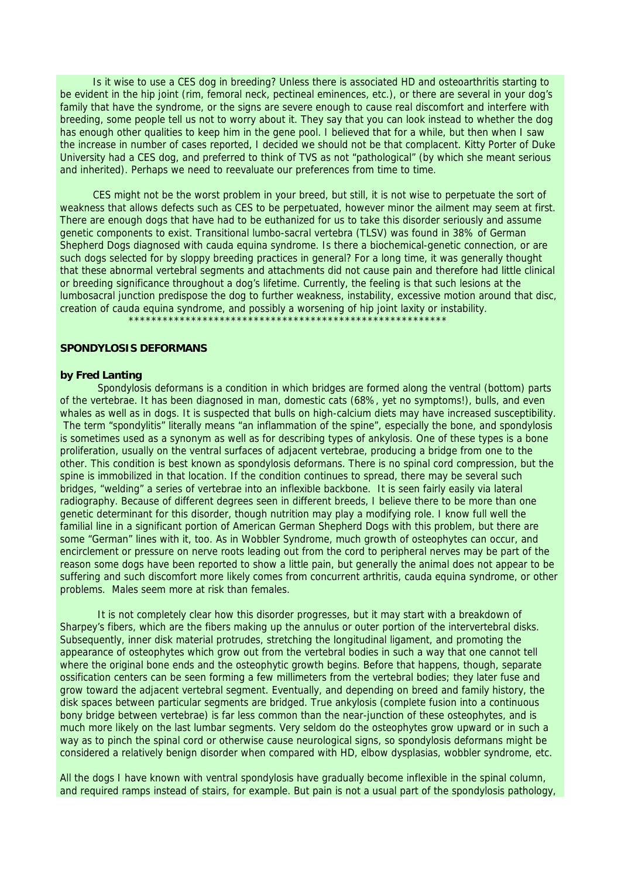Is it wise to use a CES dog in breeding? Unless there is associated HD and osteoarthritis starting to be evident in the hip joint (rim, femoral neck, pectineal eminences, etc.), or there are several in your dog's family that have the syndrome, or the signs are severe enough to cause real discomfort and interfere with breeding, some people tell us not to worry about it. They say that you can look instead to whether the dog has enough other qualities to keep him in the gene pool. I believed that for a while, but then when I saw the increase in number of cases reported, I decided we should not be that complacent. Kitty Porter of Duke University had a CES dog, and preferred to think of TVS as not "pathological" (by which she meant serious and inherited). Perhaps we need to reevaluate our preferences from time to time.

CES might not be the worst problem in your breed, but still, it is not wise to perpetuate the sort of weakness that allows defects such as CES to be perpetuated, however minor the ailment may seem at first. There are enough dogs that have had to be euthanized for us to take this disorder seriously and assume genetic components to exist. Transitional lumbo-sacral vertebra (TLSV) was found in 38% of German Shepherd Dogs diagnosed with cauda equina syndrome. Is there a biochemical-genetic connection, or are such dogs selected for by sloppy breeding practices in general? For a long time, it was generally thought that these abnormal vertebral segments and attachments did not cause pain and therefore had little clinical or breeding significance throughout a dog's lifetime. Currently, the feeling is that such lesions at the lumbosacral junction predispose the dog to further weakness, instability, excessive motion around that disc, creation of cauda equina syndrome, and possibly a worsening of hip joint laxity or instability.

# \*\*\*\*\*\*\*\*\*\*\*\*\*\*\*\*\*\*\*\*\*\*\*\*\*\*\*\*\*\*\*\*\*\*\*\*\*\*\*\*\*\*\*\*\*\*\*\*\*\*\*\*\*\*\*\*

# **SPONDYLOSIS DEFORMANS**

### **by Fred Lanting**

Spondylosis deformans is a condition in which bridges are formed along the ventral (bottom) parts of the vertebrae. It has been diagnosed in man, domestic cats (68%, yet no symptoms!), bulls, and even whales as well as in dogs. It is suspected that bulls on high-calcium diets may have increased susceptibility. The term "spondylitis" literally means "an inflammation of the spine", especially the bone, and spondylosis is sometimes used as a synonym as well as for describing types of ankylosis. One of these types is a bone proliferation, usually on the ventral surfaces of adjacent vertebrae, producing a bridge from one to the other. This condition is best known as spondylosis deformans. There is no spinal cord compression, but the spine is immobilized in that location. If the condition continues to spread, there may be several such bridges, "welding" a series of vertebrae into an inflexible backbone. It is seen fairly easily via lateral radiography. Because of different degrees seen in different breeds, I believe there to be more than one genetic determinant for this disorder, though nutrition may play a modifying role. I know full well the familial line in a significant portion of American German Shepherd Dogs with this problem, but there are some "German" lines with it, too. As in Wobbler Syndrome, much growth of osteophytes can occur, and encirclement or pressure on nerve roots leading out from the cord to peripheral nerves may be part of the reason some dogs have been reported to show a little pain, but generally the animal does not appear to be suffering and such discomfort more likely comes from concurrent arthritis, cauda equina syndrome, or other problems. Males seem more at risk than females.

It is not completely clear how this disorder progresses, but it may start with a breakdown of Sharpey's fibers, which are the fibers making up the annulus or outer portion of the intervertebral disks. Subsequently, inner disk material protrudes, stretching the longitudinal ligament, and promoting the appearance of osteophytes which grow out from the vertebral bodies in such a way that one cannot tell where the original bone ends and the osteophytic growth begins. Before that happens, though, separate ossification centers can be seen forming a few millimeters from the vertebral bodies; they later fuse and grow toward the adjacent vertebral segment. Eventually, and depending on breed and family history, the disk spaces between particular segments are bridged. True ankylosis (complete fusion into a continuous bony bridge between vertebrae) is far less common than the near-junction of these osteophytes, and is much more likely on the last lumbar segments. Very seldom do the osteophytes grow upward or in such a way as to pinch the spinal cord or otherwise cause neurological signs, so spondylosis deformans might be considered a relatively benign disorder when compared with HD, elbow dysplasias, wobbler syndrome, etc.

All the dogs I have known with ventral spondylosis have gradually become inflexible in the spinal column, and required ramps instead of stairs, for example. But pain is not a usual part of the spondylosis pathology,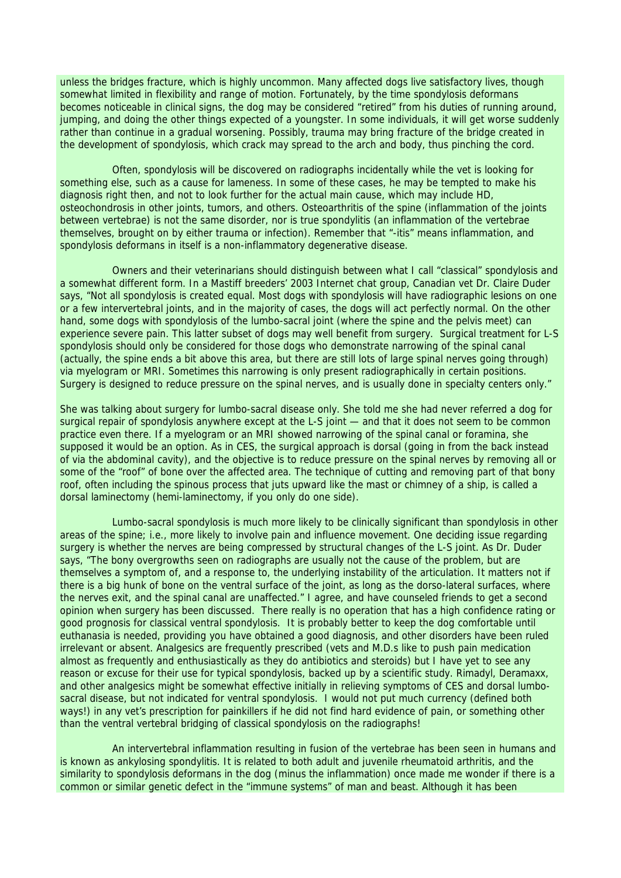unless the bridges fracture, which is highly uncommon. Many affected dogs live satisfactory lives, though somewhat limited in flexibility and range of motion. Fortunately, by the time spondylosis deformans becomes noticeable in clinical signs, the dog may be considered "retired" from his duties of running around, jumping, and doing the other things expected of a youngster. In some individuals, it will get worse suddenly rather than continue in a gradual worsening. Possibly, trauma may bring fracture of the bridge created in the development of spondylosis, which crack may spread to the arch and body, thus pinching the cord.

 Often, spondylosis will be discovered on radiographs incidentally while the vet is looking for something else, such as a cause for lameness. In some of these cases, he may be tempted to make his diagnosis right then, and not to look further for the actual main cause, which may include HD, osteochondrosis in other joints, tumors, and others. Osteoarthritis of the spine (inflammation of the joints between vertebrae) is not the same disorder, nor is true spondylitis (an inflammation of the vertebrae themselves, brought on by either trauma or infection). Remember that "-itis" means inflammation, and spondylosis deformans in itself is a non-inflammatory degenerative disease.

 Owners and their veterinarians should distinguish between what I call "classical" spondylosis and a somewhat different form. In a Mastiff breeders' 2003 Internet chat group, Canadian vet Dr. Claire Duder says, "Not all spondylosis is created equal. Most dogs with spondylosis will have radiographic lesions on one or a few intervertebral joints, and in the majority of cases, the dogs will act perfectly normal. On the other hand, some dogs with spondylosis of the lumbo-sacral joint (where the spine and the pelvis meet) can experience severe pain. This latter subset of dogs may well benefit from surgery. Surgical treatment for L-S spondylosis should only be considered for those dogs who demonstrate narrowing of the spinal canal (actually, the spine ends a bit above this area, but there are still lots of large spinal nerves going through) via myelogram or MRI. Sometimes this narrowing is only present radiographically in certain positions. Surgery is designed to reduce pressure on the spinal nerves, and is usually done in specialty centers only."

She was talking about surgery for lumbo-sacral disease only. She told me she had never referred a dog for surgical repair of spondylosis anywhere except at the L-S joint — and that it does not seem to be common practice even there. If a myelogram or an MRI showed narrowing of the spinal canal or foramina, she supposed it would be an option. As in CES, the surgical approach is dorsal (going in from the back instead of via the abdominal cavity), and the objective is to reduce pressure on the spinal nerves by removing all or some of the "roof" of bone over the affected area. The technique of cutting and removing part of that bony roof, often including the spinous process that juts upward like the mast or chimney of a ship, is called a dorsal laminectomy (hemi-laminectomy, if you only do one side).

 Lumbo-sacral spondylosis is much more likely to be clinically significant than spondylosis in other areas of the spine; i.e., more likely to involve pain and influence movement. One deciding issue regarding surgery is whether the nerves are being compressed by structural changes of the L-S joint. As Dr. Duder says, "The bony overgrowths seen on radiographs are usually not the cause of the problem, but are themselves a symptom of, and a response to, the underlying instability of the articulation. It matters not if there is a big hunk of bone on the ventral surface of the joint, as long as the dorso-lateral surfaces, where the nerves exit, and the spinal canal are unaffected." I agree, and have counseled friends to get a second opinion when surgery has been discussed. There really is no operation that has a high confidence rating or good prognosis for classical ventral spondylosis. It is probably better to keep the dog comfortable until euthanasia is needed, providing you have obtained a good diagnosis, and other disorders have been ruled irrelevant or absent. Analgesics are frequently prescribed (vets and M.D.s like to push pain medication almost as frequently and enthusiastically as they do antibiotics and steroids) but I have yet to see any reason or excuse for their use for typical spondylosis, backed up by a scientific study. Rimadyl, Deramaxx, and other analgesics might be somewhat effective initially in relieving symptoms of CES and dorsal lumbosacral disease, but not indicated for ventral spondylosis. I would not put much currency (defined both ways!) in any vet's prescription for painkillers if he did not find hard evidence of pain, or something other than the ventral vertebral bridging of classical spondylosis on the radiographs!

 An intervertebral inflammation resulting in fusion of the vertebrae has been seen in humans and is known as ankylosing spondylitis. It is related to both adult and juvenile rheumatoid arthritis, and the similarity to spondylosis deformans in the dog (minus the inflammation) once made me wonder if there is a common or similar genetic defect in the "immune systems" of man and beast. Although it has been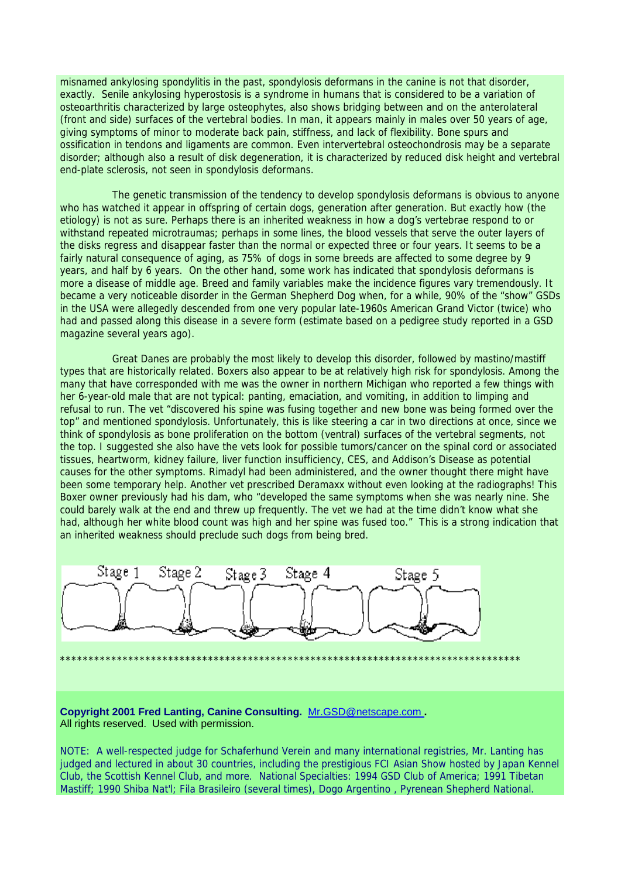misnamed ankylosing spondylitis in the past, spondylosis deformans in the canine is not that disorder, exactly. Senile ankylosing hyperostosis is a syndrome in humans that is considered to be a variation of osteoarthritis characterized by large osteophytes, also shows bridging between and on the anterolateral (front and side) surfaces of the vertebral bodies. In man, it appears mainly in males over 50 years of age, giving symptoms of minor to moderate back pain, stiffness, and lack of flexibility. Bone spurs and ossification in tendons and ligaments are common. Even intervertebral osteochondrosis may be a separate disorder; although also a result of disk degeneration, it is characterized by reduced disk height and vertebral end-plate sclerosis, not seen in spondylosis deformans.

 The genetic transmission of the tendency to develop spondylosis deformans is obvious to anyone who has watched it appear in offspring of certain dogs, generation after generation. But exactly how (the etiology) is not as sure. Perhaps there is an inherited weakness in how a dog's vertebrae respond to or withstand repeated microtraumas; perhaps in some lines, the blood vessels that serve the outer layers of the disks regress and disappear faster than the normal or expected three or four years. It seems to be a fairly natural consequence of aging, as 75% of dogs in some breeds are affected to some degree by 9 years, and half by 6 years. On the other hand, some work has indicated that spondylosis deformans is more a disease of middle age. Breed and family variables make the incidence figures vary tremendously. It became a very noticeable disorder in the German Shepherd Dog when, for a while, 90% of the "show" GSDs in the USA were allegedly descended from one very popular late-1960s American Grand Victor (twice) who had and passed along this disease in a severe form (estimate based on a pedigree study reported in a GSD magazine several years ago).

 Great Danes are probably the most likely to develop this disorder, followed by mastino/mastiff types that are historically related. Boxers also appear to be at relatively high risk for spondylosis. Among the many that have corresponded with me was the owner in northern Michigan who reported a few things with her 6-year-old male that are not typical: panting, emaciation, and vomiting, in addition to limping and refusal to run. The vet "discovered his spine was fusing together and new bone was being formed over the top" and mentioned spondylosis. Unfortunately, this is like steering a car in two directions at once, since we think of spondylosis as bone proliferation on the bottom (ventral) surfaces of the vertebral segments, not the top. I suggested she also have the vets look for possible tumors/cancer on the spinal cord or associated tissues, heartworm, kidney failure, liver function insufficiency, CES, and Addison's Disease as potential causes for the other symptoms. Rimadyl had been administered, and the owner thought there might have been some temporary help. Another vet prescribed Deramaxx without even looking at the radiographs! This Boxer owner previously had his dam, who "developed the same symptoms when she was nearly nine. She could barely walk at the end and threw up frequently. The vet we had at the time didn't know what she had, although her white blood count was high and her spine was fused too." This is a strong indication that an inherited weakness should preclude such dogs from being bred.



**Copyright 2001 Fred Lanting, Canine Consulting.** Mr.GSD@netscape.com **.**  All rights reserved. Used with permission.

NOTE: A well-respected judge for Schaferhund Verein and many international registries, Mr. Lanting has judged and lectured in about 30 countries, including the prestigious FCI Asian Show hosted by Japan Kennel Club, the Scottish Kennel Club, and more. National Specialties: 1994 GSD Club of America; 1991 Tibetan Mastiff; 1990 Shiba Nat'l; Fila Brasileiro (several times), Dogo Argentino , Pyrenean Shepherd National.